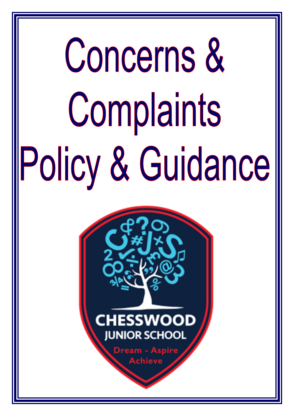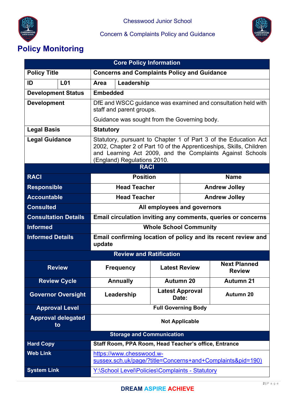



# **Policy Monitoring**

| <b>Core Policy Information</b>   |                       |                                                                                                                                                                                                                                    |                                                       |                                 |                      |                                      |
|----------------------------------|-----------------------|------------------------------------------------------------------------------------------------------------------------------------------------------------------------------------------------------------------------------------|-------------------------------------------------------|---------------------------------|----------------------|--------------------------------------|
| <b>Policy Title</b>              |                       | <b>Concerns and Complaints Policy and Guidance</b>                                                                                                                                                                                 |                                                       |                                 |                      |                                      |
| <b>L01</b><br>ID                 |                       | Leadership<br>Area                                                                                                                                                                                                                 |                                                       |                                 |                      |                                      |
| <b>Development Status</b>        |                       | <b>Embedded</b>                                                                                                                                                                                                                    |                                                       |                                 |                      |                                      |
| <b>Development</b>               |                       | DfE and WSCC guidance was examined and consultation held with<br>staff and parent groups.                                                                                                                                          |                                                       |                                 |                      |                                      |
|                                  |                       | Guidance was sought from the Governing body.                                                                                                                                                                                       |                                                       |                                 |                      |                                      |
| <b>Legal Basis</b>               |                       | <b>Statutory</b>                                                                                                                                                                                                                   |                                                       |                                 |                      |                                      |
| <b>Legal Guidance</b>            |                       | Statutory, pursuant to Chapter 1 of Part 3 of the Education Act<br>2002, Chapter 2 of Part 10 of the Apprenticeships, Skills, Children<br>and Learning Act 2009, and the Complaints Against Schools<br>(England) Regulations 2010. |                                                       |                                 |                      |                                      |
|                                  |                       |                                                                                                                                                                                                                                    | <b>RACI</b>                                           |                                 |                      |                                      |
| <b>RACL</b>                      |                       |                                                                                                                                                                                                                                    | <b>Position</b>                                       |                                 | <b>Name</b>          |                                      |
| <b>Responsible</b>               |                       |                                                                                                                                                                                                                                    | <b>Head Teacher</b>                                   |                                 | <b>Andrew Jolley</b> |                                      |
| <b>Accountable</b>               |                       |                                                                                                                                                                                                                                    | <b>Head Teacher</b>                                   |                                 | <b>Andrew Jolley</b> |                                      |
| <b>Consulted</b>                 |                       | All employees and governors                                                                                                                                                                                                        |                                                       |                                 |                      |                                      |
| <b>Consultation Details</b>      |                       | Email circulation inviting any comments, queries or concerns                                                                                                                                                                       |                                                       |                                 |                      |                                      |
| <b>Informed</b>                  |                       | <b>Whole School Community</b>                                                                                                                                                                                                      |                                                       |                                 |                      |                                      |
| <b>Informed Details</b>          |                       | Email confirming location of policy and its recent review and<br>update                                                                                                                                                            |                                                       |                                 |                      |                                      |
| <b>Review and Ratification</b>   |                       |                                                                                                                                                                                                                                    |                                                       |                                 |                      |                                      |
| <b>Review</b>                    |                       |                                                                                                                                                                                                                                    | <b>Frequency</b>                                      | <b>Latest Review</b>            |                      | <b>Next Planned</b><br><b>Review</b> |
|                                  | <b>Review Cycle</b>   |                                                                                                                                                                                                                                    | <b>Annually</b>                                       | Autumn 20                       |                      | <b>Autumn 21</b>                     |
| <b>Governor Oversight</b>        |                       |                                                                                                                                                                                                                                    | Leadership                                            | <b>Latest Approval</b><br>Date: |                      | <b>Autumn 20</b>                     |
|                                  | <b>Approval Level</b> | <b>Full Governing Body</b>                                                                                                                                                                                                         |                                                       |                                 |                      |                                      |
| <b>Approval delegated</b><br>to  |                       | <b>Not Applicable</b>                                                                                                                                                                                                              |                                                       |                                 |                      |                                      |
| <b>Storage and Communication</b> |                       |                                                                                                                                                                                                                                    |                                                       |                                 |                      |                                      |
| <b>Hard Copy</b>                 |                       |                                                                                                                                                                                                                                    | Staff Room, PPA Room, Head Teacher's office, Entrance |                                 |                      |                                      |
| <b>Web Link</b>                  |                       | https://www.chesswood.w-<br>sussex.sch.uk/page/?title=Concerns+and+Complaints&pid=190)                                                                                                                                             |                                                       |                                 |                      |                                      |
| <b>System Link</b>               |                       | Y:\School Level\Policies\Complaints - Statutory                                                                                                                                                                                    |                                                       |                                 |                      |                                      |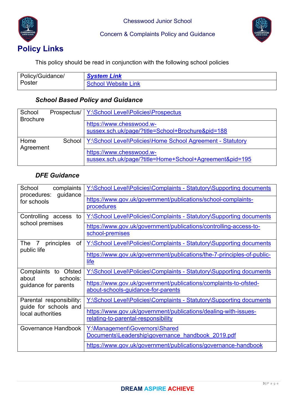



This policy should be read in conjunction with the following school policies

| Policy/Guidance/ | <b>System Link</b>  |
|------------------|---------------------|
| Poster           | School Website Link |

## *School Based Policy and Guidance*

| School<br><b>Brochure</b> | Prospectus/ | Y:\School Level\Policies\Prospectus                        |
|---------------------------|-------------|------------------------------------------------------------|
|                           |             | https://www.chesswood.w-                                   |
|                           |             | sussex.sch.uk/page/?title=School+Brochure&pid=188          |
| Home                      | School      | Y:\School Level\Policies\Home School Agreement - Statutory |
| Agreement                 |             |                                                            |
|                           |             | https://www.chesswood.w-                                   |
|                           |             | sussex.sch.uk/page/?title=Home+School+Agreement&pid=195    |

# *DFE Guidance*

| School<br>complaints<br>guidance<br>procedures:   | Y:\School Level\Policies\Complaints - Statutory\Supporting documents                                   |
|---------------------------------------------------|--------------------------------------------------------------------------------------------------------|
| for schools                                       | https://www.gov.uk/government/publications/school-complaints-<br>procedures                            |
| Controlling access<br>to                          | Y:\School Level\Policies\Complaints - Statutory\Supporting documents                                   |
| school premises                                   | https://www.gov.uk/government/publications/controlling-access-to-<br>school-premises                   |
| The 7 principles<br>of<br>public life             | <b>Y:\School Level\Policies\Complaints - Statutory\Supporting documents</b>                            |
|                                                   | https://www.gov.uk/government/publications/the-7-principles-of-public-<br>life                         |
| Complaints to Ofsted<br>schools:<br>about         | Y:\School Level\Policies\Complaints - Statutory\Supporting documents                                   |
| guidance for parents                              | https://www.gov.uk/government/publications/complaints-to-ofsted-<br>about-schools-guidance-for-parents |
| Parental responsibility:<br>guide for schools and | Y:\School Level\Policies\Complaints - Statutory\Supporting documents                                   |
| local authorities                                 | https://www.gov.uk/government/publications/dealing-with-issues-<br>relating-to-parental-responsibility |
| Governance Handbook                               | Y:\Management\Governors\Shared<br>Documents\Leadership\governance handbook 2019.pdf                    |
|                                                   | https://www.gov.uk/government/publications/governance-handbook                                         |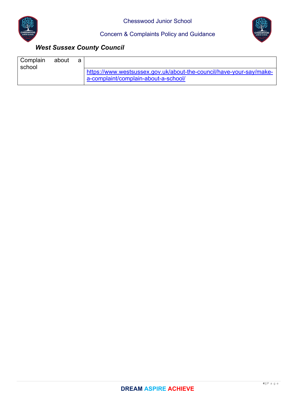



# *West Sussex County Council*

| Complain<br>school | about | а |                                                                                                             |
|--------------------|-------|---|-------------------------------------------------------------------------------------------------------------|
|                    |       |   | https://www.westsussex.gov.uk/about-the-council/have-your-say/make-<br>a-complaint/complain-about-a-school/ |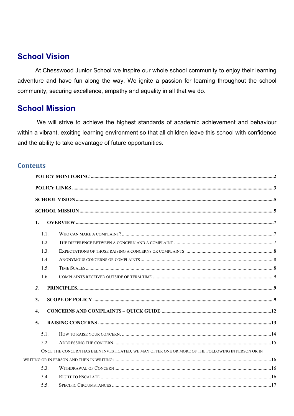# **School Vision**

At Chesswood Junior School we inspire our whole school community to enjoy their learning adventure and have fun along the way. We ignite a passion for learning throughout the school community, securing excellence, empathy and equality in all that we do.

# **School Mission**

We will strive to achieve the highest standards of academic achievement and behaviour within a vibrant, exciting learning environment so that all children leave this school with confidence and the ability to take advantage of future opportunities.

## **Contents**

| 1.               |                                                                                                   |  |
|------------------|---------------------------------------------------------------------------------------------------|--|
| 1.1.             |                                                                                                   |  |
| 1.2.             |                                                                                                   |  |
| 1.3.             |                                                                                                   |  |
| 1.4.             |                                                                                                   |  |
| 1.5.             |                                                                                                   |  |
| 1.6.             |                                                                                                   |  |
| 2.               |                                                                                                   |  |
| 3.               |                                                                                                   |  |
| $\overline{4}$ . |                                                                                                   |  |
| 5.               |                                                                                                   |  |
| 5.1.             |                                                                                                   |  |
| 5.2.             |                                                                                                   |  |
|                  | ONCE THE CONCERN HAS BEEN INVESTIGATED, WE MAY OFFER ONE OR MORE OF THE FOLLOWING IN PERSON OR IN |  |
|                  |                                                                                                   |  |
| 5.3.             |                                                                                                   |  |
| 5.4.             |                                                                                                   |  |
| 5.5.             |                                                                                                   |  |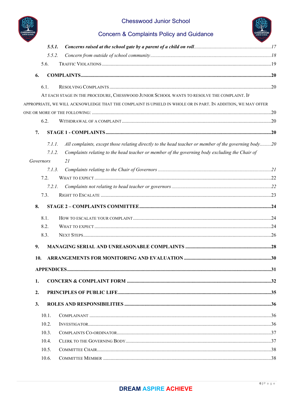

# Chesswood Junior School



# **Concern & Complaints Policy and Guidance**

|           | 5.5.1. |                                                                                                              |  |
|-----------|--------|--------------------------------------------------------------------------------------------------------------|--|
|           | 5.5.2. |                                                                                                              |  |
| 5.6.      |        |                                                                                                              |  |
| 6.        |        |                                                                                                              |  |
| 6.1.      |        |                                                                                                              |  |
|           |        | AT EACH STAGE IN THE PROCEDURE, CHESSWOOD JUNIOR SCHOOL WANTS TO RESOLVE THE COMPLAINT. IF                   |  |
|           |        | APPROPRIATE, WE WILL ACKNOWLEDGE THAT THE COMPLAINT IS UPHELD IN WHOLE OR IN PART. IN ADDITION, WE MAY OFFER |  |
|           |        |                                                                                                              |  |
| 6.2.      |        |                                                                                                              |  |
| 7.        |        |                                                                                                              |  |
|           | 7.1.1. | All complaints, except those relating directly to the head teacher or member of the governing body20         |  |
|           | 7.1.2. | Complaints relating to the head teacher or member of the governing body excluding the Chair of               |  |
| Governors |        | 21                                                                                                           |  |
|           | 7.1.3. |                                                                                                              |  |
| 7.2.      |        |                                                                                                              |  |
|           | 7.2.1. |                                                                                                              |  |
| 7.3.      |        |                                                                                                              |  |
| 8.        |        |                                                                                                              |  |
| 8.1.      |        |                                                                                                              |  |
| 8.2.      |        |                                                                                                              |  |
| 8.3.      |        |                                                                                                              |  |
| 9.        |        |                                                                                                              |  |
| 10.       |        |                                                                                                              |  |
|           |        |                                                                                                              |  |
| 1.        |        |                                                                                                              |  |
| 2.        |        |                                                                                                              |  |
| 3.        |        |                                                                                                              |  |
| 10.1.     |        |                                                                                                              |  |
| 10.2.     |        |                                                                                                              |  |
| 10.3.     |        |                                                                                                              |  |
| 10.4.     |        |                                                                                                              |  |
| 10.5.     |        |                                                                                                              |  |
| 10.6.     |        |                                                                                                              |  |
|           |        |                                                                                                              |  |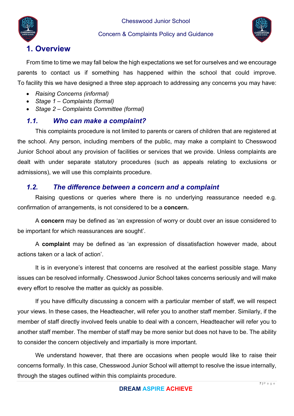



# **1. Overview**

From time to time we may fall below the high expectations we set for ourselves and we encourage parents to contact us if something has happened within the school that could improve. To facility this we have designed a three step approach to addressing any concerns you may have:

- *Raising Concerns (informal)*
- *Stage 1 Complaints (formal)*
- *Stage 2 Complaints Committee (formal)*

# *1.1. Who can make a complaint?*

This complaints procedure is not limited to parents or carers of children that are registered at the school. Any person, including members of the public, may make a complaint to Chesswood Junior School about any provision of facilities or services that we provide. Unless complaints are dealt with under separate statutory procedures (such as appeals relating to exclusions or admissions), we will use this complaints procedure.

## *1.2. The difference between a concern and a complaint*

Raising questions or queries where there is no underlying reassurance needed e.g. confirmation of arrangements, is not considered to be a **concern.**

A **concern** may be defined as 'an expression of worry or doubt over an issue considered to be important for which reassurances are sought'.

A **complaint** may be defined as 'an expression of dissatisfaction however made, about actions taken or a lack of action'.

It is in everyone's interest that concerns are resolved at the earliest possible stage. Many issues can be resolved informally. Chesswood Junior School takes concerns seriously and will make every effort to resolve the matter as quickly as possible.

If you have difficulty discussing a concern with a particular member of staff, we will respect your views. In these cases, the Headteacher, will refer you to another staff member. Similarly, if the member of staff directly involved feels unable to deal with a concern, Headteacher will refer you to another staff member. The member of staff may be more senior but does not have to be. The ability to consider the concern objectively and impartially is more important.

We understand however, that there are occasions when people would like to raise their concerns formally. In this case, Chesswood Junior School will attempt to resolve the issue internally, through the stages outlined within this complaints procedure.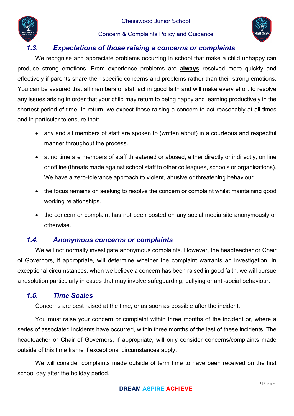



# *1.3. Expectations of those raising a concerns or complaints*

We recognise and appreciate problems occurring in school that make a child unhappy can produce strong emotions. From experience problems are **always** resolved more quickly and effectively if parents share their specific concerns and problems rather than their strong emotions. You can be assured that all members of staff act in good faith and will make every effort to resolve any issues arising in order that your child may return to being happy and learning productively in the shortest period of time. In return, we expect those raising a concern to act reasonably at all times and in particular to ensure that:

- any and all members of staff are spoken to (written about) in a courteous and respectful manner throughout the process.
- at no time are members of staff threatened or abused, either directly or indirectly, on line or offline (threats made against school staff to other colleagues, schools or organisations). We have a zero-tolerance approach to violent, abusive or threatening behaviour.
- the focus remains on seeking to resolve the concern or complaint whilst maintaining good working relationships.
- the concern or complaint has not been posted on any social media site anonymously or otherwise.

## *1.4. Anonymous concerns or complaints*

We will not normally investigate anonymous complaints. However, the headteacher or Chair of Governors, if appropriate, will determine whether the complaint warrants an investigation. In exceptional circumstances, when we believe a concern has been raised in good faith, we will pursue a resolution particularly in cases that may involve safeguarding, bullying or anti-social behaviour.

## *1.5. Time Scales*

Concerns are best raised at the time, or as soon as possible after the incident.

You must raise your concern or complaint within three months of the incident or, where a series of associated incidents have occurred, within three months of the last of these incidents. The headteacher or Chair of Governors, if appropriate, will only consider concerns/complaints made outside of this time frame if exceptional circumstances apply.

We will consider complaints made outside of term time to have been received on the first school day after the holiday period.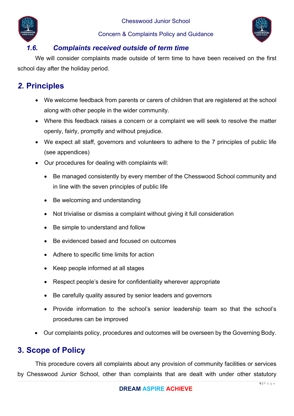



## *1.6. Complaints received outside of term time*

We will consider complaints made outside of term time to have been received on the first school day after the holiday period.

# *2.* **Principles**

- We welcome feedback from parents or carers of children that are registered at the school along with other people in the wider community.
- Where this feedback raises a concern or a complaint we will seek to resolve the matter openly, fairly, promptly and without prejudice.
- We expect all staff, governors and volunteers to adhere to the 7 principles of public life (see appendices)
- Our procedures for dealing with complaints will:
	- Be managed consistently by every member of the Chesswood School community and in line with the seven principles of public life
	- Be welcoming and understanding
	- Not trivialise or dismiss a complaint without giving it full consideration
	- Be simple to understand and follow
	- Be evidenced based and focused on outcomes
	- Adhere to specific time limits for action
	- Keep people informed at all stages
	- Respect people's desire for confidentiality wherever appropriate
	- Be carefully quality assured by senior leaders and governors
	- Provide information to the school's senior leadership team so that the school's procedures can be improved
- Our complaints policy, procedures and outcomes will be overseen by the Governing Body.

# **3. Scope of Policy**

This procedure covers all complaints about any provision of community facilities or services by Chesswood Junior School, other than complaints that are dealt with under other statutory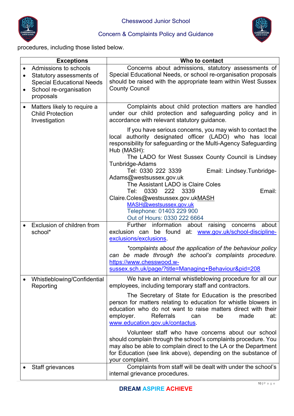



procedures, including those listed below.

|           | <b>Exceptions</b>                                                                                                            | Who to contact                                                                                                                                                                                                                                                                            |
|-----------|------------------------------------------------------------------------------------------------------------------------------|-------------------------------------------------------------------------------------------------------------------------------------------------------------------------------------------------------------------------------------------------------------------------------------------|
| $\bullet$ | Admissions to schools<br>Statutory assessments of<br><b>Special Educational Needs</b><br>School re-organisation<br>proposals | Concerns about admissions, statutory assessments of<br>Special Educational Needs, or school re-organisation proposals<br>should be raised with the appropriate team within West Sussex<br><b>County Council</b>                                                                           |
| $\bullet$ | Matters likely to require a<br><b>Child Protection</b><br>Investigation                                                      | Complaints about child protection matters are handled<br>under our child protection and safeguarding policy and in<br>accordance with relevant statutory guidance.                                                                                                                        |
|           |                                                                                                                              | If you have serious concerns, you may wish to contact the<br>local authority designated officer (LADO) who has local<br>responsibility for safeguarding or the Multi-Agency Safeguarding<br>Hub (MASH):                                                                                   |
|           |                                                                                                                              | The LADO for West Sussex County Council is Lindsey<br>Tunbridge-Adams<br>Tel: 0330 222 3339<br>Email: Lindsey.Tunbridge-<br>Adams@westsussex.gov.uk                                                                                                                                       |
|           |                                                                                                                              | The Assistant LADO is Claire Coles<br>Tel: 0330 222<br>3339<br>Email:<br>Claire.Coles@westsussex.gov.ukMASH<br>MASH@westsussex.gov.uk<br>Telephone: 01403 229 900<br>Out of Hours: 0330 222 6664                                                                                          |
|           | Exclusion of children from<br>school*                                                                                        | Further information about raising concerns<br>about<br>exclusion can be found at: www.gov.uk/school-discipline-<br>exclusions/exclusions                                                                                                                                                  |
|           |                                                                                                                              | *complaints about the application of the behaviour policy<br>can be made through the school's complaints procedure.<br>https://www.chesswood.w-<br>sussex.sch.uk/page/?title=Managing+Behaviour&pid=208                                                                                   |
|           | Whistleblowing/Confidential<br>Reporting                                                                                     | We have an internal whistleblowing procedure for all our<br>employees, including temporary staff and contractors.                                                                                                                                                                         |
|           |                                                                                                                              | The Secretary of State for Education is the prescribed<br>person for matters relating to education for whistle blowers in<br>education who do not want to raise matters direct with their<br>employer.<br><b>Referrals</b><br>made<br>be<br>at:<br>can<br>www.education.gov.uk/contactus. |
|           |                                                                                                                              | Volunteer staff who have concerns about our school<br>should complain through the school's complaints procedure. You<br>may also be able to complain direct to the LA or the Department<br>for Education (see link above), depending on the substance of<br>your complaint.               |
|           | Staff grievances                                                                                                             | Complaints from staff will be dealt with under the school's<br>internal grievance procedures.                                                                                                                                                                                             |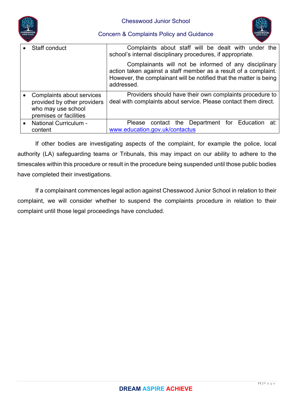



| Staff conduct                                                                                            | Complaints about staff will be dealt with under the<br>school's internal disciplinary procedures, if appropriate.                                                                                            |
|----------------------------------------------------------------------------------------------------------|--------------------------------------------------------------------------------------------------------------------------------------------------------------------------------------------------------------|
|                                                                                                          | Complainants will not be informed of any disciplinary<br>action taken against a staff member as a result of a complaint.<br>However, the complainant will be notified that the matter is being<br>addressed. |
| Complaints about services<br>provided by other providers<br>who may use school<br>premises or facilities | Providers should have their own complaints procedure to<br>deal with complaints about service. Please contact them direct.                                                                                   |
| <b>National Curriculum -</b><br>content                                                                  | contact the Department for Education at:<br>Please<br>www.education.gov.uk/contactus                                                                                                                         |

If other bodies are investigating aspects of the complaint, for example the police, local authority (LA) safeguarding teams or Tribunals, this may impact on our ability to adhere to the timescales within this procedure or result in the procedure being suspended until those public bodies have completed their investigations.

If a complainant commences legal action against Chesswood Junior School in relation to their complaint, we will consider whether to suspend the complaints procedure in relation to their complaint until those legal proceedings have concluded.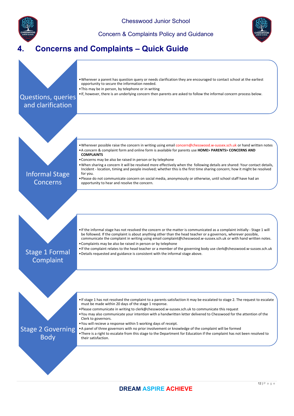

Chesswood Junior School

Concern & Complaints Policy and Guidance



# **4. Concerns and Complaints – Quick Guide**

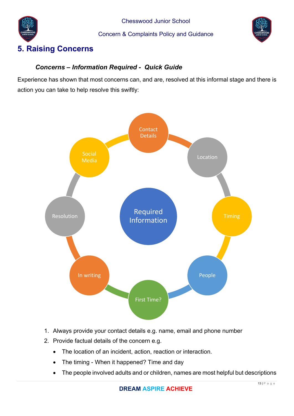





# **5. Raising Concerns**

## *Concerns – Information Required - Quick Guide*

Experience has shown that most concerns can, and are, resolved at this informal stage and there is action you can take to help resolve this swiftly:



- 1. Always provide your contact details e.g. name, email and phone number
- 2. Provide factual details of the concern e.g.
	- The location of an incident, action, reaction or interaction.
	- The timing When it happened? Time and day
	- The people involved adults and or children, names are most helpful but descriptions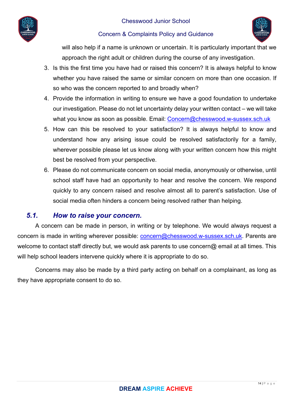

#### Chesswood Junior School



#### Concern & Complaints Policy and Guidance

will also help if a name is unknown or uncertain. It is particularly important that we approach the right adult or children during the course of any investigation.

- 3. Is this the first time you have had or raised this concern? It is always helpful to know whether you have raised the same or similar concern on more than one occasion. If so who was the concern reported to and broadly when?
- 4. Provide the information in writing to ensure we have a good foundation to undertake our investigation. Please do not let uncertainty delay your written contact – we will take what you know as soon as possible. Email: Concern@chesswood.w-sussex.sch.uk
- 5. How can this be resolved to your satisfaction? It is always helpful to know and understand how any arising issue could be resolved satisfactorily for a family, wherever possible please let us know along with your written concern how this might best be resolved from your perspective.
- 6. Please do not communicate concern on social media, anonymously or otherwise, until school staff have had an opportunity to hear and resolve the concern. We respond quickly to any concern raised and resolve almost all to parent's satisfaction. Use of social media often hinders a concern being resolved rather than helping.

## *5.1. How to raise your concern.*

A concern can be made in person, in writing or by telephone. We would always request a concern is made in writing wherever possible: concern@chesswood.w-sussex.sch.uk. Parents are welcome to contact staff directly but, we would ask parents to use concern@ email at all times. This will help school leaders intervene quickly where it is appropriate to do so.

Concerns may also be made by a third party acting on behalf on a complainant, as long as they have appropriate consent to do so.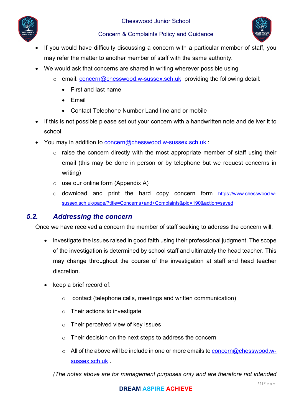



- If you would have difficulty discussing a concern with a particular member of staff, you may refer the matter to another member of staff with the same authority.
- We would ask that concerns are shared in writing wherever possible using
	- o email: concern@chesswood.w-sussex.sch.uk providing the following detail:
		- First and last name
		- Fmail
		- Contact Telephone Number Land line and or mobile
- If this is not possible please set out your concern with a handwritten note and deliver it to school.
- You may in addition to concern@chesswood.w-sussex.sch.uk :
	- $\circ$  raise the concern directly with the most appropriate member of staff using their email (this may be done in person or by telephone but we request concerns in writing)
	- $\circ$  use our online form (Appendix A)
	- o download and print the hard copy concern form https://www.chesswood.wsussex.sch.uk/page/?title=Concerns+and+Complaints&pid=190&action=saved

## *5.2. Addressing the concern*

Once we have received a concern the member of staff seeking to address the concern will:

- investigate the issues raised in good faith using their professional judgment. The scope of the investigation is determined by school staff and ultimately the head teacher. This may change throughout the course of the investigation at staff and head teacher discretion.
- keep a brief record of:
	- o contact (telephone calls, meetings and written communication)
	- o Their actions to investigate
	- $\circ$  Their perceived view of key issues
	- o Their decision on the next steps to address the concern
	- $\circ$  All of the above will be include in one or more emails to concern@chesswood.wsussex.sch.uk .

*(The notes above are for management purposes only and are therefore not intended*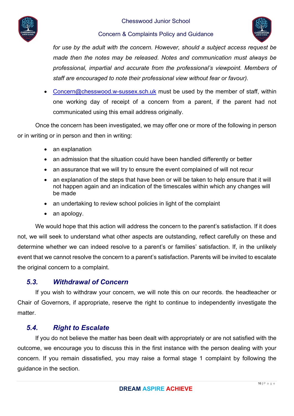



for use by the adult with the concern. However, should a subject access request be *made then the notes may be released. Notes and communication must always be professional, impartial and accurate from the professional's viewpoint. Members of staff are encouraged to note their professional view without fear or favour).* 

• Concern@chesswood.w-sussex.sch.uk must be used by the member of staff, within one working day of receipt of a concern from a parent, if the parent had not communicated using this email address originally.

Once the concern has been investigated, we may offer one or more of the following in person or in writing or in person and then in writing:

- an explanation
- an admission that the situation could have been handled differently or better
- an assurance that we will try to ensure the event complained of will not recur
- an explanation of the steps that have been or will be taken to help ensure that it will not happen again and an indication of the timescales within which any changes will be made
- an undertaking to review school policies in light of the complaint
- an apology.

We would hope that this action will address the concern to the parent's satisfaction. If it does not, we will seek to understand what other aspects are outstanding, reflect carefully on these and determine whether we can indeed resolve to a parent's or families' satisfaction. If, in the unlikely event that we cannot resolve the concern to a parent's satisfaction. Parents will be invited to escalate the original concern to a complaint.

## *5.3. Withdrawal of Concern*

If you wish to withdraw your concern, we will note this on our records. the headteacher or Chair of Governors, if appropriate, reserve the right to continue to independently investigate the matter.

# *5.4. Right to Escalate*

If you do not believe the matter has been dealt with appropriately or are not satisfied with the outcome, we encourage you to discuss this in the first instance with the person dealing with your concern. If you remain dissatisfied, you may raise a formal stage 1 complaint by following the guidance in the section.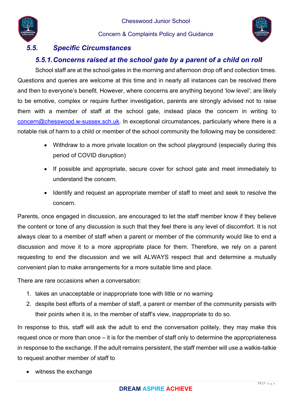



# *5.5. Specific Circumstances*

# *5.5.1. Concerns raised at the school gate by a parent of a child on roll*

School staff are at the school gates in the morning and afternoon drop off and collection times. Questions and queries are welcome at this time and in nearly all instances can be resolved there and then to everyone's benefit. However, where concerns are anything beyond 'low level'; are likely to be emotive, complex or require further investigation, parents are strongly advised not to raise them with a member of staff at the school gate, instead place the concern in writing to concern@chesswood.w-sussex.sch.uk. In exceptional circumstances, particularly where there is a notable risk of harm to a child or member of the school community the following may be considered:

- Withdraw to a more private location on the school playground (especially during this period of COVID disruption)
- If possible and appropriate, secure cover for school gate and meet immediately to understand the concern.
- Identify and request an appropriate member of staff to meet and seek to resolve the concern.

Parents, once engaged in discussion, are encouraged to let the staff member know if they believe the content or tone of any discussion is such that they feel there is any level of discomfort. It is not always clear to a member of staff when a parent or member of the community would like to end a discussion and move it to a more appropriate place for them. Therefore, we rely on a parent requesting to end the discussion and we will ALWAYS respect that and determine a mutually convenient plan to make arrangements for a more suitable time and place.

There are rare occasions when a conversation:

- 1. takes an unacceptable or inappropriate tone with little or no warning
- 2. despite best efforts of a member of staff, a parent or member of the community persists with their points when it is, in the member of staff's view, inappropriate to do so.

In response to this, staff will ask the adult to end the conversation politely, they may make this request once or more than once – it is for the member of staff only to determine the appropriateness in response to the exchange. If the adult remains persistent, the staff member will use a walkie-talkie to request another member of staff to

• witness the exchange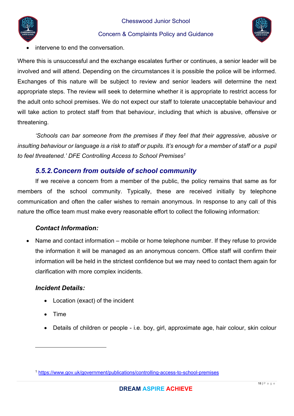



intervene to end the conversation.

Where this is unsuccessful and the exchange escalates further or continues, a senior leader will be involved and will attend. Depending on the circumstances it is possible the police will be informed. Exchanges of this nature will be subject to review and senior leaders will determine the next appropriate steps. The review will seek to determine whether it is appropriate to restrict access for the adult onto school premises. We do not expect our staff to tolerate unacceptable behaviour and will take action to protect staff from that behaviour, including that which is abusive, offensive or threatening.

*'Schools can bar someone from the premises if they feel that their aggressive, abusive or insulting behaviour or language is a risk to staff or pupils. It's enough for a member of staff or a pupil to feel threatened.' DFE Controlling Access to School Premises1*

## *5.5.2. Concern from outside of school community*

If we receive a concern from a member of the public, the policy remains that same as for members of the school community. Typically, these are received initially by telephone communication and often the caller wishes to remain anonymous. In response to any call of this nature the office team must make every reasonable effort to collect the following information:

## *Contact Information:*

 Name and contact information – mobile or home telephone number. If they refuse to provide the information it will be managed as an anonymous concern. Office staff will confirm their information will be held in the strictest confidence but we may need to contact them again for clarification with more complex incidents.

## *Incident Details:*

- Location (exact) of the incident
- Time
- Details of children or people i.e. boy, girl, approximate age, hair colour, skin colour

<sup>1</sup> https://www.gov.uk/government/publications/controlling-access-to-school-premises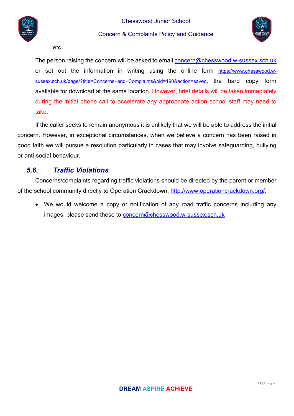



etc.

The person raising the concern will be asked to email concern@chesswood.w-sussex.sch.uk or set out the information in writing using the online form https://www.chesswood.wsussex.sch.uk/page/?title=Concerns+and+Complaints&pid=190&action=saved, the hard copy form available for download at the same location. However, brief details will be taken immediately during the initial phone call to accelerate any appropriate action school staff may need to take.

If the caller seeks to remain anonymous it is unlikely that we will be able to address the initial concern. However, in exceptional circumstances, when we believe a concern has been raised in good faith we will pursue a resolution particularly in cases that may involve safeguarding, bullying or anti-social behaviour.

## *5.6. Traffic Violations*

Concerns/complaints regarding traffic violations should be directed by the parent or member of the school community directly to Operation Crackdown, http://www.operationcrackdown.org/.

 We would welcome a copy or notification of any road traffic concerns including any images, please send these to concern@chesswood.w-sussex.sch.uk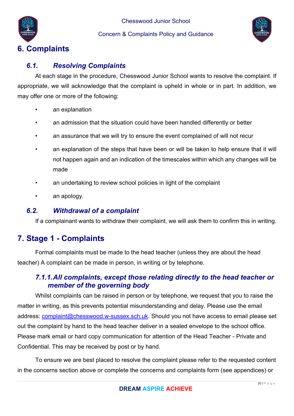



# **6. Complaints**

# *6.1. Resolving Complaints*

At each stage in the procedure, Chesswood Junior School wants to resolve the complaint. If appropriate, we will acknowledge that the complaint is upheld in whole or in part. In addition, we may offer one or more of the following:

- an explanation
- an admission that the situation could have been handled differently or better
- an assurance that we will try to ensure the event complained of will not recur
- an explanation of the steps that have been or will be taken to help ensure that it will not happen again and an indication of the timescales within which any changes will be made
- an undertaking to review school policies in light of the complaint
- an apology.

# *6.2. Withdrawal of a complaint*

If a complainant wants to withdraw their complaint, we will ask them to confirm this in writing.

# **7. Stage 1 - Complaints**

Formal complaints must be made to the head teacher (unless they are about the head teacher) A complaint can be made in person, in writing or by telephone.

# *7.1.1. All complaints, except those relating directly to the head teacher or member of the governing body*

Whilst complaints can be raised in person or by telephone, we request that you to raise the matter in writing, as this prevents potential misunderstanding and delay. Please use the email address: complaint@chesswood.w-sussex.sch.uk. Should you not have access to email please set out the complaint by hand to the head teacher deliver in a sealed envelope to the school office. Please mark email or hard copy communication for attention of the Head Teacher - Private and Confidential. This may be received by post or by hand.

To ensure we are best placed to resolve the complaint please refer to the requested content in the concerns section above or complete the concerns and complaints form (see appendices) or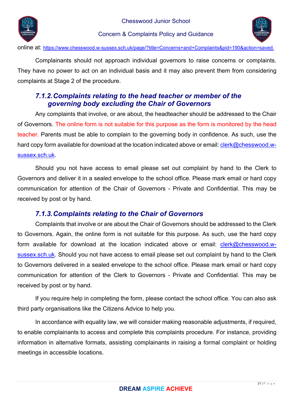



online at: https://www.chesswood.w-sussex.sch.uk/page/?title=Concerns+and+Complaints&pid=190&action=saved.

Complainants should not approach individual governors to raise concerns or complaints. They have no power to act on an individual basis and it may also prevent them from considering complaints at Stage 2 of the procedure.

# *7.1.2. Complaints relating to the head teacher or member of the governing body excluding the Chair of Governors*

Any complaints that involve, or are about, the headteacher should be addressed to the Chair of Governors. The online form is not suitable for this purpose as the form is monitored by the head teacher. Parents must be able to complain to the governing body in confidence. As such, use the hard copy form available for download at the location indicated above or email: clerk@chesswood.wsussex.sch.uk.

Should you not have access to email please set out complaint by hand to the Clerk to Governors and deliver it in a sealed envelope to the school office. Please mark email or hard copy communication for attention of the Chair of Governors - Private and Confidential. This may be received by post or by hand.

# *7.1.3. Complaints relating to the Chair of Governors*

Complaints that involve or are about the Chair of Governors should be addressed to the Clerk to Governors. Again, the online form is not suitable for this purpose. As such, use the hard copy form available for download at the location indicated above or email: clerk@chesswood.wsussex.sch.uk. Should you not have access to email please set out complaint by hand to the Clerk to Governors delivered in a sealed envelope to the school office. Please mark email or hard copy communication for attention of the Clerk to Governors - Private and Confidential. This may be received by post or by hand.

If you require help in completing the form, please contact the school office. You can also ask third party organisations like the Citizens Advice to help you.

In accordance with equality law, we will consider making reasonable adjustments, if required, to enable complainants to access and complete this complaints procedure. For instance, providing information in alternative formats, assisting complainants in raising a formal complaint or holding meetings in accessible locations.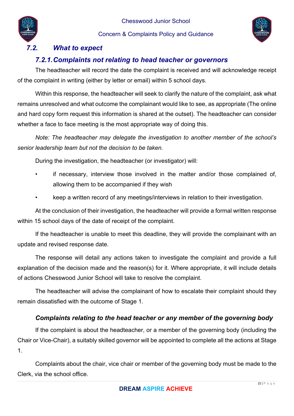



# *7.2. What to expect*

# *7.2.1. Complaints not relating to head teacher or governors*

The headteacher will record the date the complaint is received and will acknowledge receipt of the complaint in writing (either by letter or email) within 5 school days.

Within this response, the headteacher will seek to clarify the nature of the complaint, ask what remains unresolved and what outcome the complainant would like to see, as appropriate (The online and hard copy form request this information is shared at the outset). The headteacher can consider whether a face to face meeting is the most appropriate way of doing this.

*Note: The headteacher may delegate the investigation to another member of the school's senior leadership team but not the decision to be taken.* 

During the investigation, the headteacher (or investigator) will:

- if necessary, interview those involved in the matter and/or those complained of, allowing them to be accompanied if they wish
- keep a written record of any meetings/interviews in relation to their investigation.

At the conclusion of their investigation, the headteacher will provide a formal written response within 15 school days of the date of receipt of the complaint.

If the headteacher is unable to meet this deadline, they will provide the complainant with an update and revised response date.

The response will detail any actions taken to investigate the complaint and provide a full explanation of the decision made and the reason(s) for it. Where appropriate, it will include details of actions Chesswood Junior School will take to resolve the complaint.

The headteacher will advise the complainant of how to escalate their complaint should they remain dissatisfied with the outcome of Stage 1.

## *Complaints relating to the head teacher or any member of the governing body*

If the complaint is about the headteacher, or a member of the governing body (including the Chair or Vice-Chair), a suitably skilled governor will be appointed to complete all the actions at Stage 1.

Complaints about the chair, vice chair or member of the governing body must be made to the Clerk, via the school office.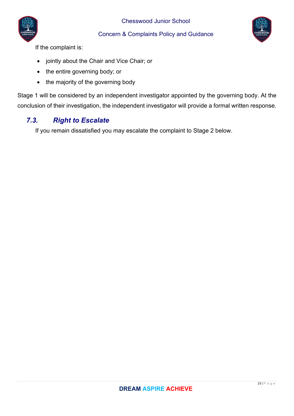



If the complaint is:

- jointly about the Chair and Vice Chair; or
- the entire governing body; or
- the majority of the governing body

Stage 1 will be considered by an independent investigator appointed by the governing body. At the conclusion of their investigation, the independent investigator will provide a formal written response.

# *7.3. Right to Escalate*

If you remain dissatisfied you may escalate the complaint to Stage 2 below.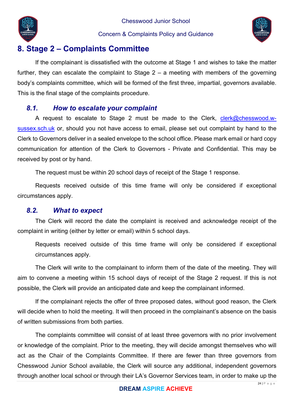



# **8. Stage 2 – Complaints Committee**

If the complainant is dissatisfied with the outcome at Stage 1 and wishes to take the matter further, they can escalate the complaint to Stage  $2 - a$  meeting with members of the governing body's complaints committee, which will be formed of the first three, impartial, governors available. This is the final stage of the complaints procedure.

## *8.1. How to escalate your complaint*

A request to escalate to Stage 2 must be made to the Clerk, clerk@chesswood.wsussex.sch.uk or, should you not have access to email, please set out complaint by hand to the Clerk to Governors deliver in a sealed envelope to the school office. Please mark email or hard copy communication for attention of the Clerk to Governors - Private and Confidential. This may be received by post or by hand.

The request must be within 20 school days of receipt of the Stage 1 response.

Requests received outside of this time frame will only be considered if exceptional circumstances apply.

#### *8.2. What to expect*

The Clerk will record the date the complaint is received and acknowledge receipt of the complaint in writing (either by letter or email) within 5 school days.

Requests received outside of this time frame will only be considered if exceptional circumstances apply.

The Clerk will write to the complainant to inform them of the date of the meeting. They will aim to convene a meeting within 15 school days of receipt of the Stage 2 request. If this is not possible, the Clerk will provide an anticipated date and keep the complainant informed.

If the complainant rejects the offer of three proposed dates, without good reason, the Clerk will decide when to hold the meeting. It will then proceed in the complainant's absence on the basis of written submissions from both parties.

The complaints committee will consist of at least three governors with no prior involvement or knowledge of the complaint. Prior to the meeting, they will decide amongst themselves who will act as the Chair of the Complaints Committee. If there are fewer than three governors from Chesswood Junior School available, the Clerk will source any additional, independent governors through another local school or through their LA's Governor Services team, in order to make up the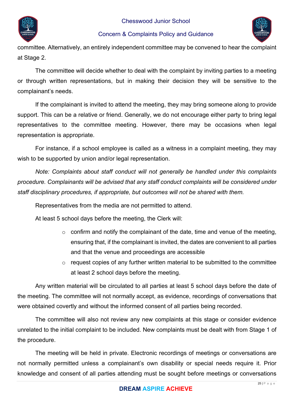



committee. Alternatively, an entirely independent committee may be convened to hear the complaint at Stage 2.

The committee will decide whether to deal with the complaint by inviting parties to a meeting or through written representations, but in making their decision they will be sensitive to the complainant's needs.

If the complainant is invited to attend the meeting, they may bring someone along to provide support. This can be a relative or friend. Generally, we do not encourage either party to bring legal representatives to the committee meeting. However, there may be occasions when legal representation is appropriate.

For instance, if a school employee is called as a witness in a complaint meeting, they may wish to be supported by union and/or legal representation.

*Note: Complaints about staff conduct will not generally be handled under this complaints procedure. Complainants will be advised that any staff conduct complaints will be considered under staff disciplinary procedures, if appropriate, but outcomes will not be shared with them.* 

Representatives from the media are not permitted to attend.

At least 5 school days before the meeting, the Clerk will:

- $\circ$  confirm and notify the complainant of the date, time and venue of the meeting, ensuring that, if the complainant is invited, the dates are convenient to all parties and that the venue and proceedings are accessible
- o request copies of any further written material to be submitted to the committee at least 2 school days before the meeting.

Any written material will be circulated to all parties at least 5 school days before the date of the meeting. The committee will not normally accept, as evidence, recordings of conversations that were obtained covertly and without the informed consent of all parties being recorded.

The committee will also not review any new complaints at this stage or consider evidence unrelated to the initial complaint to be included. New complaints must be dealt with from Stage 1 of the procedure.

The meeting will be held in private. Electronic recordings of meetings or conversations are not normally permitted unless a complainant's own disability or special needs require it. Prior knowledge and consent of all parties attending must be sought before meetings or conversations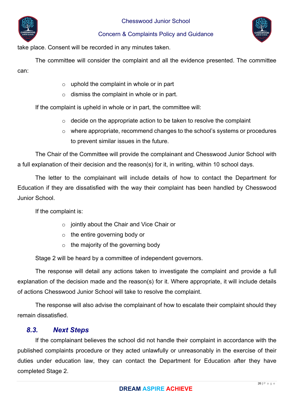



take place. Consent will be recorded in any minutes taken.

The committee will consider the complaint and all the evidence presented. The committee can:

- $\circ$  uphold the complaint in whole or in part
- o dismiss the complaint in whole or in part.

If the complaint is upheld in whole or in part, the committee will:

- $\circ$  decide on the appropriate action to be taken to resolve the complaint
- o where appropriate, recommend changes to the school's systems or procedures to prevent similar issues in the future.

The Chair of the Committee will provide the complainant and Chesswood Junior School with a full explanation of their decision and the reason(s) for it, in writing, within 10 school days.

The letter to the complainant will include details of how to contact the Department for Education if they are dissatisfied with the way their complaint has been handled by Chesswood Junior School.

If the complaint is:

- o jointly about the Chair and Vice Chair or
- o the entire governing body or
- $\circ$  the majority of the governing body

Stage 2 will be heard by a committee of independent governors.

The response will detail any actions taken to investigate the complaint and provide a full explanation of the decision made and the reason(s) for it. Where appropriate, it will include details of actions Chesswood Junior School will take to resolve the complaint.

The response will also advise the complainant of how to escalate their complaint should they remain dissatisfied.

## *8.3. Next Steps*

If the complainant believes the school did not handle their complaint in accordance with the published complaints procedure or they acted unlawfully or unreasonably in the exercise of their duties under education law, they can contact the Department for Education after they have completed Stage 2.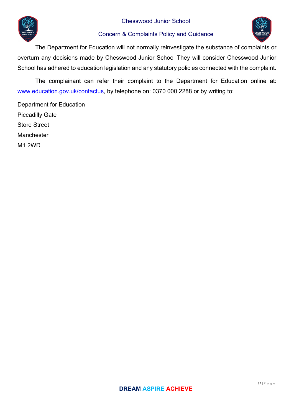



The Department for Education will not normally reinvestigate the substance of complaints or overturn any decisions made by Chesswood Junior School They will consider Chesswood Junior School has adhered to education legislation and any statutory policies connected with the complaint.

The complainant can refer their complaint to the Department for Education online at: www.education.gov.uk/contactus, by telephone on: 0370 000 2288 or by writing to:

Department for Education Piccadilly Gate Store Street Manchester M1 2WD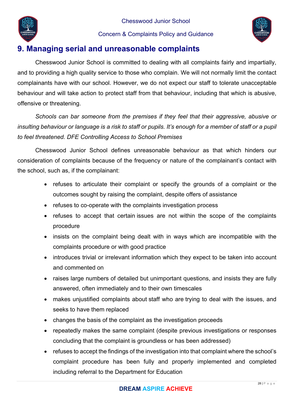



# **9. Managing serial and unreasonable complaints**

Chesswood Junior School is committed to dealing with all complaints fairly and impartially, and to providing a high quality service to those who complain. We will not normally limit the contact complainants have with our school. However, we do not expect our staff to tolerate unacceptable behaviour and will take action to protect staff from that behaviour, including that which is abusive, offensive or threatening.

*Schools can bar someone from the premises if they feel that their aggressive, abusive or insulting behaviour or language is a risk to staff or pupils. It's enough for a member of staff or a pupil to feel threatened. DFE Controlling Access to School Premises* 

Chesswood Junior School defines unreasonable behaviour as that which hinders our consideration of complaints because of the frequency or nature of the complainant's contact with the school, such as, if the complainant:

- refuses to articulate their complaint or specify the grounds of a complaint or the outcomes sought by raising the complaint, despite offers of assistance
- refuses to co-operate with the complaints investigation process
- refuses to accept that certain issues are not within the scope of the complaints procedure
- insists on the complaint being dealt with in ways which are incompatible with the complaints procedure or with good practice
- introduces trivial or irrelevant information which they expect to be taken into account and commented on
- raises large numbers of detailed but unimportant questions, and insists they are fully answered, often immediately and to their own timescales
- makes unjustified complaints about staff who are trying to deal with the issues, and seeks to have them replaced
- changes the basis of the complaint as the investigation proceeds
- repeatedly makes the same complaint (despite previous investigations or responses concluding that the complaint is groundless or has been addressed)
- refuses to accept the findings of the investigation into that complaint where the school's complaint procedure has been fully and properly implemented and completed including referral to the Department for Education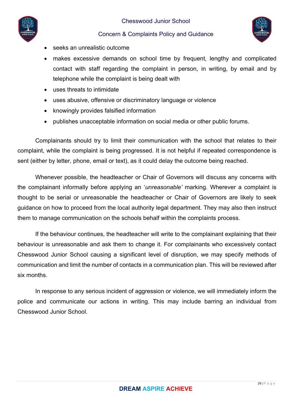



- seeks an unrealistic outcome
- makes excessive demands on school time by frequent, lengthy and complicated contact with staff regarding the complaint in person, in writing, by email and by telephone while the complaint is being dealt with
- uses threats to intimidate
- uses abusive, offensive or discriminatory language or violence
- knowingly provides falsified information
- publishes unacceptable information on social media or other public forums.

Complainants should try to limit their communication with the school that relates to their complaint, while the complaint is being progressed. It is not helpful if repeated correspondence is sent (either by letter, phone, email or text), as it could delay the outcome being reached.

Whenever possible, the headteacher or Chair of Governors will discuss any concerns with the complainant informally before applying an '*unreasonable'* marking. Wherever a complaint is thought to be serial or unreasonable the headteacher or Chair of Governors are likely to seek guidance on how to proceed from the local authority legal department. They may also then instruct them to manage communication on the schools behalf within the complaints process.

If the behaviour continues, the headteacher will write to the complainant explaining that their behaviour is unreasonable and ask them to change it. For complainants who excessively contact Chesswood Junior School causing a significant level of disruption, we may specify methods of communication and limit the number of contacts in a communication plan. This will be reviewed after six months.

In response to any serious incident of aggression or violence, we will immediately inform the police and communicate our actions in writing. This may include barring an individual from Chesswood Junior School.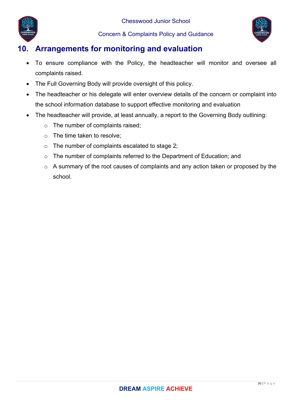

# **10. Arrangements for monitoring and evaluation**

- To ensure compliance with the Policy, the headteacher will monitor and oversee all complaints raised.
- The Full Governing Body will provide oversight of this policy.
- The headteacher or his delegate will enter overview details of the concern or complaint into the school information database to support effective monitoring and evaluation
- The headteacher will provide, at least annually, a report to the Governing Body outlining:
	- o The number of complaints raised;
	- o The time taken to resolve;
	- o The number of complaints escalated to stage 2;
	- o The number of complaints referred to the Department of Education; and
	- o A summary of the root causes of complaints and any action taken or proposed by the school.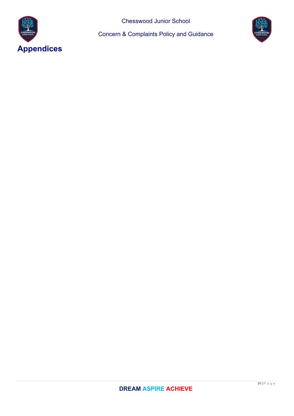

Chesswood Junior School

Concern & Complaints Policy and Guidance

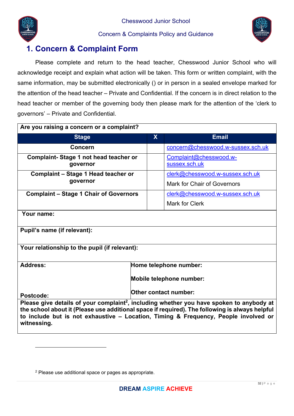



# **1. Concern & Complaint Form**

Please complete and return to the head teacher, Chesswood Junior School who will acknowledge receipt and explain what action will be taken. This form or written complaint, with the same information, may be submitted electronically () or in person in a sealed envelope marked for the attention of the head teacher – Private and Confidential. If the concern is in direct relation to the head teacher or member of the governing body then please mark for the attention of the 'clerk to governors' – Private and Confidential.

| Are you raising a concern or a complaint?                                                                                                                                                                                                                                                                    |                          |                                         |  |  |
|--------------------------------------------------------------------------------------------------------------------------------------------------------------------------------------------------------------------------------------------------------------------------------------------------------------|--------------------------|-----------------------------------------|--|--|
| <b>Stage</b>                                                                                                                                                                                                                                                                                                 | $\mathbf{X}$             | <b>Email</b>                            |  |  |
| Concern                                                                                                                                                                                                                                                                                                      |                          | concern@chesswood.w-sussex.sch.uk       |  |  |
| Complaint-Stage 1 not head teacher or<br>governor                                                                                                                                                                                                                                                            |                          | Complaint@chesswood.w-<br>sussex.sch.uk |  |  |
| Complaint - Stage 1 Head teacher or                                                                                                                                                                                                                                                                          |                          | clerk@chesswood.w-sussex.sch.uk         |  |  |
| governor                                                                                                                                                                                                                                                                                                     |                          | <b>Mark for Chair of Governors</b>      |  |  |
| <b>Complaint - Stage 1 Chair of Governors</b>                                                                                                                                                                                                                                                                |                          | clerk@chesswood.w-sussex.sch.uk         |  |  |
|                                                                                                                                                                                                                                                                                                              |                          | <b>Mark for Clerk</b>                   |  |  |
| Your name:                                                                                                                                                                                                                                                                                                   |                          |                                         |  |  |
| Pupil's name (if relevant):                                                                                                                                                                                                                                                                                  |                          |                                         |  |  |
| Your relationship to the pupil (if relevant):                                                                                                                                                                                                                                                                |                          |                                         |  |  |
| <b>Address:</b><br>Home telephone number:                                                                                                                                                                                                                                                                    |                          |                                         |  |  |
|                                                                                                                                                                                                                                                                                                              | Mobile telephone number: |                                         |  |  |
| <b>Other contact number:</b><br>Postcode:                                                                                                                                                                                                                                                                    |                          |                                         |  |  |
| Please give details of your complaint <sup>2</sup> , including whether you have spoken to anybody at<br>the school about it (Please use additional space if required). The following is always helpful<br>to include but is not exhaustive - Location, Timing & Frequency, People involved or<br>witnessing. |                          |                                         |  |  |

<sup>2</sup> Please use additional space or pages as appropriate.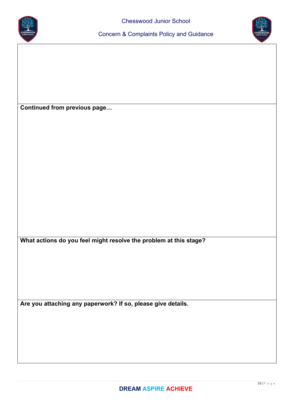



**Continued from previous page…** 

**What actions do you feel might resolve the problem at this stage?** 

**Are you attaching any paperwork? If so, please give details.**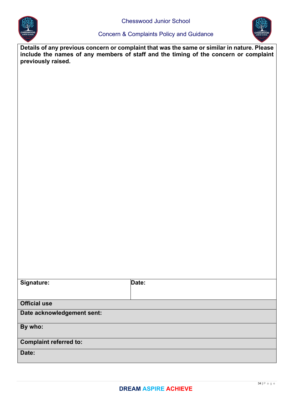



**Details of any previous concern or complaint that was the same or similar in nature. Please include the names of any members of staff and the timing of the concern or complaint previously raised.** 

| Signature:                    | Date: |
|-------------------------------|-------|
| <b>Official use</b>           |       |
| Date acknowledgement sent:    |       |
| By who:                       |       |
| <b>Complaint referred to:</b> |       |
| Date:                         |       |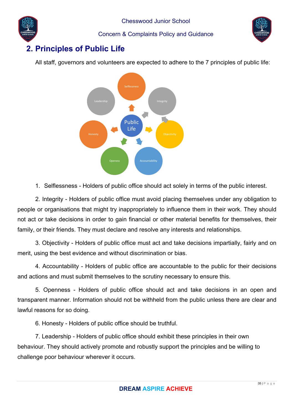

# **2. Principles of Public Life**

All staff, governors and volunteers are expected to adhere to the 7 principles of public life:



1. Selflessness - Holders of public office should act solely in terms of the public interest.

2. Integrity - Holders of public office must avoid placing themselves under any obligation to people or organisations that might try inappropriately to influence them in their work. They should not act or take decisions in order to gain financial or other material benefits for themselves, their family, or their friends. They must declare and resolve any interests and relationships.

3. Objectivity - Holders of public office must act and take decisions impartially, fairly and on merit, using the best evidence and without discrimination or bias.

4. Accountability - Holders of public office are accountable to the public for their decisions and actions and must submit themselves to the scrutiny necessary to ensure this.

5. Openness - Holders of public office should act and take decisions in an open and transparent manner. Information should not be withheld from the public unless there are clear and lawful reasons for so doing.

6. Honesty - Holders of public office should be truthful.

7. Leadership - Holders of public office should exhibit these principles in their own behaviour. They should actively promote and robustly support the principles and be willing to challenge poor behaviour wherever it occurs.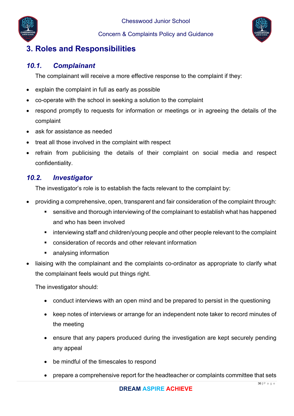



# **3. Roles and Responsibilities**

# *10.1. Complainant*

The complainant will receive a more effective response to the complaint if they:

- explain the complaint in full as early as possible
- co-operate with the school in seeking a solution to the complaint
- respond promptly to requests for information or meetings or in agreeing the details of the complaint
- ask for assistance as needed
- treat all those involved in the complaint with respect
- refrain from publicising the details of their complaint on social media and respect confidentiality.

# *10.2. Investigator*

The investigator's role is to establish the facts relevant to the complaint by:

- providing a comprehensive, open, transparent and fair consideration of the complaint through:
	- sensitive and thorough interviewing of the complainant to establish what has happened and who has been involved
	- **EXT** interviewing staff and children/young people and other people relevant to the complaint
	- consideration of records and other relevant information
	- **analysing information**
- liaising with the complainant and the complaints co-ordinator as appropriate to clarify what the complainant feels would put things right.

The investigator should:

- conduct interviews with an open mind and be prepared to persist in the questioning
- keep notes of interviews or arrange for an independent note taker to record minutes of the meeting
- ensure that any papers produced during the investigation are kept securely pending any appeal
- be mindful of the timescales to respond
- prepare a comprehensive report for the headteacher or complaints committee that sets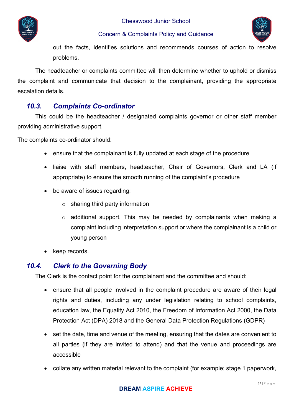



out the facts, identifies solutions and recommends courses of action to resolve problems.

The headteacher or complaints committee will then determine whether to uphold or dismiss the complaint and communicate that decision to the complainant, providing the appropriate escalation details.

# *10.3. Complaints Co-ordinator*

This could be the headteacher / designated complaints governor or other staff member providing administrative support.

The complaints co-ordinator should:

- ensure that the complainant is fully updated at each stage of the procedure
- liaise with staff members, headteacher, Chair of Governors, Clerk and LA (if appropriate) to ensure the smooth running of the complaint's procedure
- be aware of issues regarding:
	- $\circ$  sharing third party information
	- $\circ$  additional support. This may be needed by complainants when making a complaint including interpretation support or where the complainant is a child or young person
- keep records.

# *10.4. Clerk to the Governing Body*

The Clerk is the contact point for the complainant and the committee and should:

- ensure that all people involved in the complaint procedure are aware of their legal rights and duties, including any under legislation relating to school complaints, education law, the Equality Act 2010, the Freedom of Information Act 2000, the Data Protection Act (DPA) 2018 and the General Data Protection Regulations (GDPR)
- set the date, time and venue of the meeting, ensuring that the dates are convenient to all parties (if they are invited to attend) and that the venue and proceedings are accessible
- collate any written material relevant to the complaint (for example; stage 1 paperwork,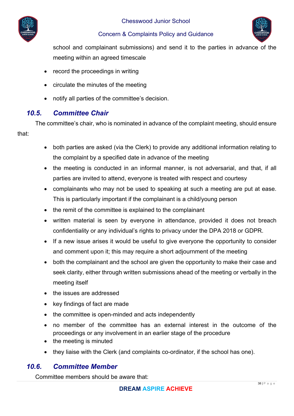



school and complainant submissions) and send it to the parties in advance of the meeting within an agreed timescale

- record the proceedings in writing
- circulate the minutes of the meeting
- notify all parties of the committee's decision.

# *10.5. Committee Chair*

The committee's chair, who is nominated in advance of the complaint meeting, should ensure that:

- both parties are asked (via the Clerk) to provide any additional information relating to the complaint by a specified date in advance of the meeting
- the meeting is conducted in an informal manner, is not adversarial, and that, if all parties are invited to attend, everyone is treated with respect and courtesy
- complainants who may not be used to speaking at such a meeting are put at ease. This is particularly important if the complainant is a child/young person
- the remit of the committee is explained to the complainant
- written material is seen by everyone in attendance, provided it does not breach confidentiality or any individual's rights to privacy under the DPA 2018 or GDPR.
- If a new issue arises it would be useful to give everyone the opportunity to consider and comment upon it; this may require a short adjournment of the meeting
- both the complainant and the school are given the opportunity to make their case and seek clarity, either through written submissions ahead of the meeting or verbally in the meeting itself
- the issues are addressed
- key findings of fact are made
- the committee is open-minded and acts independently
- no member of the committee has an external interest in the outcome of the proceedings or any involvement in an earlier stage of the procedure
- the meeting is minuted
- they liaise with the Clerk (and complaints co-ordinator, if the school has one).

# *10.6. Committee Member*

Committee members should be aware that: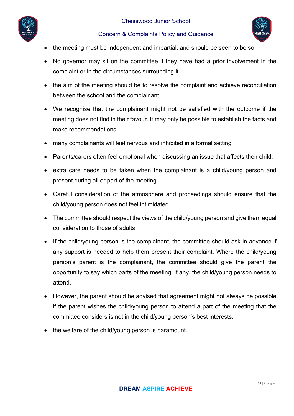



- the meeting must be independent and impartial, and should be seen to be so
- No governor may sit on the committee if they have had a prior involvement in the complaint or in the circumstances surrounding it.
- the aim of the meeting should be to resolve the complaint and achieve reconciliation between the school and the complainant
- We recognise that the complainant might not be satisfied with the outcome if the meeting does not find in their favour. It may only be possible to establish the facts and make recommendations.
- many complainants will feel nervous and inhibited in a formal setting
- Parents/carers often feel emotional when discussing an issue that affects their child.
- extra care needs to be taken when the complainant is a child/young person and present during all or part of the meeting
- Careful consideration of the atmosphere and proceedings should ensure that the child/young person does not feel intimidated.
- The committee should respect the views of the child/young person and give them equal consideration to those of adults.
- If the child/young person is the complainant, the committee should ask in advance if any support is needed to help them present their complaint. Where the child/young person's parent is the complainant, the committee should give the parent the opportunity to say which parts of the meeting, if any, the child/young person needs to attend.
- However, the parent should be advised that agreement might not always be possible if the parent wishes the child/young person to attend a part of the meeting that the committee considers is not in the child/young person's best interests.
- the welfare of the child/young person is paramount.